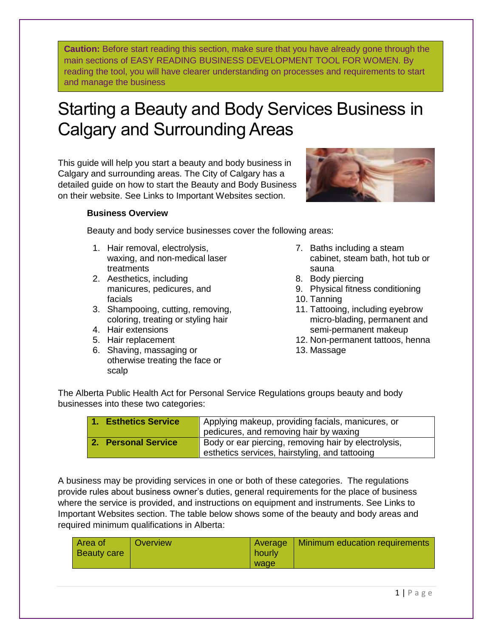**Caution:** Before start reading this section, make sure that you have already gone through the main sections of EASY READING BUSINESS DEVELOPMENT TOOL FOR WOMEN. By reading the tool, you will have clearer understanding on processes and requirements to start and manage the business

## Starting a Beauty and Body Services Business in Calgary and Surrounding Areas

This guide will help you start a beauty and body business in Calgary and surrounding areas. The City of Calgary has a detailed guide on how to start the Beauty and Body Business on their website. See Links to Important Websites section.



## **Business Overview**

Beauty and body service businesses cover the following areas:

- 1. Hair removal, electrolysis, waxing, and non-medical laser treatments
- 2. Aesthetics, including manicures, pedicures, and facials
- 3. Shampooing, cutting, removing, coloring, treating or styling hair
- 4. Hair extensions
- 5. Hair replacement
- 6. Shaving, massaging or otherwise treating the face or scalp
- 7. Baths including a steam cabinet, steam bath, hot tub or sauna
- 8. Body piercing
- 9. Physical fitness conditioning
- 10. Tanning
- 11. Tattooing, including eyebrow micro-blading, permanent and semi-permanent makeup
- 12. Non-permanent tattoos, henna
- 13. Massage

The Alberta Public Health Act for Personal Service Regulations groups beauty and body businesses into these two categories:

| 1. Esthetics Service | Applying makeup, providing facials, manicures, or<br>pedicures, and removing hair by waxing            |
|----------------------|--------------------------------------------------------------------------------------------------------|
| 2. Personal Service  | Body or ear piercing, removing hair by electrolysis,<br>esthetics services, hairstyling, and tattooing |

A business may be providing services in one or both of these categories. The regulations provide rules about business owner's duties, general requirements for the place of business where the service is provided, and instructions on equipment and instruments. See Links to Important Websites section. The table below shows some of the beauty and body areas and required minimum qualifications in Alberta:

| Area of<br><b>Beauty care</b> | Overview | Average<br>hourly | <b>Minimum education requirements</b> |
|-------------------------------|----------|-------------------|---------------------------------------|
|                               |          | wage              |                                       |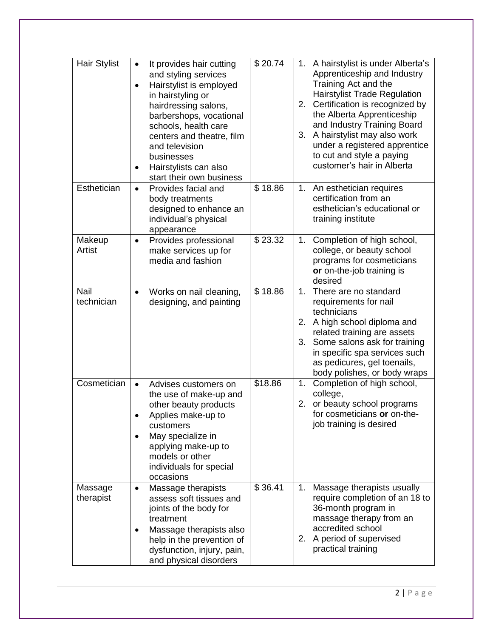| <b>Hair Stylist</b>  | It provides hair cutting<br>$\bullet$<br>and styling services<br>Hairstylist is employed<br>$\bullet$<br>in hairstyling or<br>hairdressing salons,<br>barbershops, vocational<br>schools, health care<br>centers and theatre, film<br>and television<br>businesses<br>Hairstylists can also<br>$\bullet$<br>start their own business | $\overline{$}20.74$ | 1. A hairstylist is under Alberta's<br>Apprenticeship and Industry<br>Training Act and the<br><b>Hairstylist Trade Regulation</b><br>Certification is recognized by<br>2.<br>the Alberta Apprenticeship<br>and Industry Training Board<br>3. A hairstylist may also work<br>under a registered apprentice<br>to cut and style a paying<br>customer's hair in Alberta |
|----------------------|--------------------------------------------------------------------------------------------------------------------------------------------------------------------------------------------------------------------------------------------------------------------------------------------------------------------------------------|---------------------|----------------------------------------------------------------------------------------------------------------------------------------------------------------------------------------------------------------------------------------------------------------------------------------------------------------------------------------------------------------------|
| Esthetician          | Provides facial and<br>$\bullet$<br>body treatments<br>designed to enhance an<br>individual's physical<br>appearance                                                                                                                                                                                                                 | \$18.86             | 1. An esthetician requires<br>certification from an<br>esthetician's educational or<br>training institute                                                                                                                                                                                                                                                            |
| Makeup<br>Artist     | Provides professional<br>$\bullet$<br>make services up for<br>media and fashion                                                                                                                                                                                                                                                      | \$23.32             | Completion of high school,<br>1.<br>college, or beauty school<br>programs for cosmeticians<br>or on-the-job training is<br>desired                                                                                                                                                                                                                                   |
| Nail<br>technician   | Works on nail cleaning,<br>$\bullet$<br>designing, and painting                                                                                                                                                                                                                                                                      | \$18.86             | 1. There are no standard<br>requirements for nail<br>technicians<br>A high school diploma and<br>2.<br>related training are assets<br>Some salons ask for training<br>3.<br>in specific spa services such<br>as pedicures, gel toenails,<br>body polishes, or body wraps                                                                                             |
| Cosmetician          | Advises customers on<br>$\bullet$<br>the use of make-up and<br>other beauty products<br>Applies make-up to<br>customers<br>May specialize in<br>applying make-up to<br>models or other<br>individuals for special<br>occasions                                                                                                       | \$18.86             | Completion of high school,<br>1.<br>college,<br>or beauty school programs<br>2.<br>for cosmeticians or on-the-<br>job training is desired                                                                                                                                                                                                                            |
| Massage<br>therapist | Massage therapists<br>$\bullet$<br>assess soft tissues and<br>joints of the body for<br>treatment<br>Massage therapists also<br>$\bullet$<br>help in the prevention of<br>dysfunction, injury, pain,<br>and physical disorders                                                                                                       | \$36.41             | Massage therapists usually<br>1.<br>require completion of an 18 to<br>36-month program in<br>massage therapy from an<br>accredited school<br>A period of supervised<br>2.<br>practical training                                                                                                                                                                      |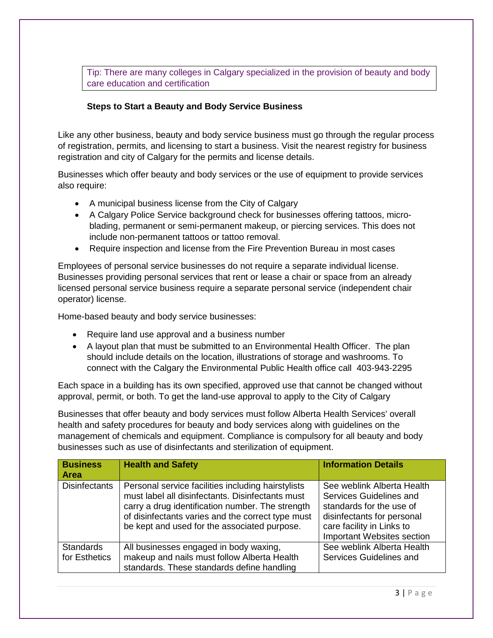Tip: There are many colleges in Calgary specialized in the provision of beauty and body care education and certification

## **Steps to Start a Beauty and Body Service Business**

Like any other business, beauty and body service business must go through the regular process of registration, permits, and licensing to start a business. Visit the nearest registry for business registration and city of Calgary for the permits and license details.

Businesses which offer beauty and body services or the use of equipment to provide services also require:

- A municipal business license from the City of Calgary
- A Calgary Police Service background check for businesses offering tattoos, microblading, permanent or semi-permanent makeup, or piercing services. This does not include non-permanent tattoos or tattoo removal.
- Require inspection and license from the Fire Prevention Bureau in most cases

Employees of personal service businesses do not require a separate individual license. Businesses providing personal services that rent or lease a chair or space from an already licensed personal service business require a separate personal service (independent chair operator) license.

Home-based beauty and body service businesses:

- Require land use approval and a business number
- A layout plan that must be submitted to an Environmental Health Officer. The plan should include details on the location, illustrations of storage and washrooms. To connect with the Calgary the Environmental Public Health office call 403-943-2295

Each space in a building has its own specified, approved use that cannot be changed without approval, permit, or both. To get the land-use approval to apply to the City of Calgary

Businesses that offer beauty and body services must follow Alberta Health Services' overall health and safety procedures for beauty and body services along with guidelines on the management of chemicals and equipment. Compliance is compulsory for all beauty and body businesses such as use of disinfectants and sterilization of equipment.

| <b>Business</b><br><b>Area</b>    | <b>Health and Safety</b>                                                                                                                                                                                                                                        | <b>Information Details</b>                                                                                                                                                        |
|-----------------------------------|-----------------------------------------------------------------------------------------------------------------------------------------------------------------------------------------------------------------------------------------------------------------|-----------------------------------------------------------------------------------------------------------------------------------------------------------------------------------|
| <b>Disinfectants</b>              | Personal service facilities including hairstylists<br>must label all disinfectants. Disinfectants must<br>carry a drug identification number. The strength<br>of disinfectants varies and the correct type must<br>be kept and used for the associated purpose. | See weblink Alberta Health<br>Services Guidelines and<br>standards for the use of<br>disinfectants for personal<br>care facility in Links to<br><b>Important Websites section</b> |
| <b>Standards</b><br>for Esthetics | All businesses engaged in body waxing,<br>makeup and nails must follow Alberta Health                                                                                                                                                                           | See weblink Alberta Health<br>Services Guidelines and                                                                                                                             |
|                                   | standards. These standards define handling                                                                                                                                                                                                                      |                                                                                                                                                                                   |